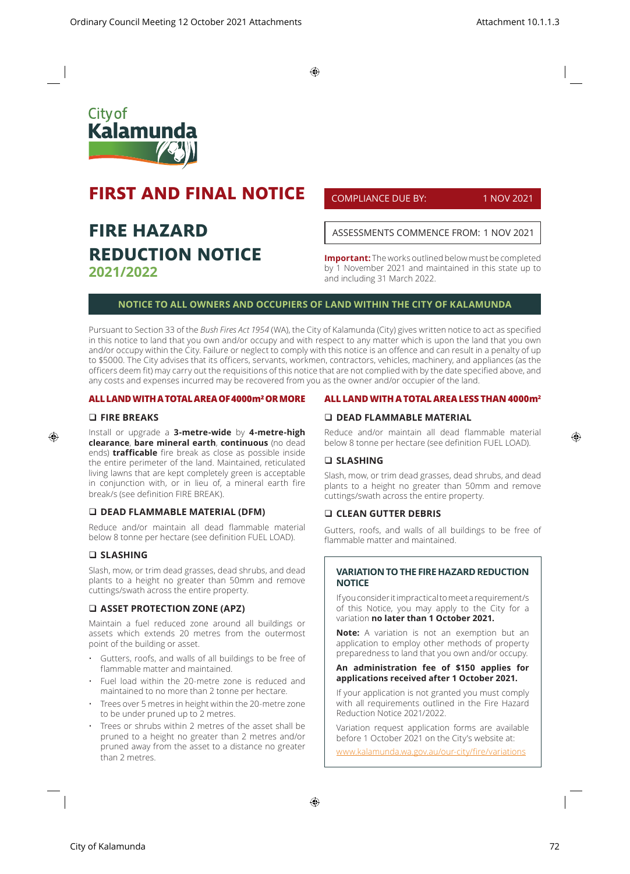$\bigoplus$ 



# **FIRST AND FINAL NOTICE**

# **FIRE HAZARD REDUCTION NOTICE 2021/2022**

COMPLIANCE DUE BY: 1 NOV 2021

ASSESSMENTS COMMENCE FROM: 1 NOV 2021

**Important:** The works outlined below must be completed by 1 November 2021 and maintained in this state up to and including 31 March 2022.

# **NOTICE TO ALL OWNERS AND OCCUPIERS OF LAND WITHIN THE CITY OF KALAMUNDA**

Pursuant to Section 33 of the *Bush Fires Act 1954* (WA), the City of Kalamunda (City) gives written notice to act as specified in this notice to land that you own and/or occupy and with respect to any matter which is upon the land that you own and/or occupy within the City. Failure or neglect to comply with this notice is an offence and can result in a penalty of up to \$5000. The City advises that its officers, servants, workmen, contractors, vehicles, machinery, and appliances (as the officers deem fit) may carry out the requisitions of this notice that are not complied with by the date specified above, and any costs and expenses incurred may be recovered from you as the owner and/or occupier of the land.

# **ALL LAND WITH A TOTAL AREA OF 4000m² OR MORE**

#### **FIRE BREAKS**

⊕

Install or upgrade a **3-metre-wide** by **4-metre-high clearance**, **bare mineral earth**, **continuous** (no dead ends) **trafficable** fire break as close as possible inside the entire perimeter of the land. Maintained, reticulated living lawns that are kept completely green is acceptable in conjunction with, or in lieu of, a mineral earth fire break/s (see definition FIRE BREAK).

# **DEAD FLAMMABLE MATERIAL (DFM)**

Reduce and/or maintain all dead flammable material below 8 tonne per hectare (see definition FUEL LOAD).

## **SLASHING**

Slash, mow, or trim dead grasses, dead shrubs, and dead plants to a height no greater than 50mm and remove cuttings/swath across the entire property.

# **ASSET PROTECTION ZONE (APZ)**

Maintain a fuel reduced zone around all buildings or assets which extends 20 metres from the outermost point of the building or asset.

- Gutters, roofs, and walls of all buildings to be free of flammable matter and maintained.
- Fuel load within the 20-metre zone is reduced and maintained to no more than 2 tonne per hectare.
- Trees over 5 metres in height within the 20-metre zone to be under pruned up to 2 metres.
- Trees or shrubs within 2 metres of the asset shall be pruned to a height no greater than 2 metres and/or pruned away from the asset to a distance no greater than 2 metres.

# **ALL LAND WITH A TOTAL AREA LESS THAN 4000m2**

# **DEAD FLAMMABLE MATERIAL**

Reduce and/or maintain all dead flammable material below 8 tonne per hectare (see definition FUEL LOAD).

#### **SLASHING**

Slash, mow, or trim dead grasses, dead shrubs, and dead plants to a height no greater than 50mm and remove cuttings/swath across the entire property.

#### **CLEAN GUTTER DEBRIS**

Gutters, roofs, and walls of all buildings to be free of flammable matter and maintained.

# **VARIATION TO THE FIRE HAZARD REDUCTION NOTICE**

If you consider it impractical to meet a requirement/s of this Notice, you may apply to the City for a variation **no later than 1 October 2021.** 

**Note:** A variation is not an exemption but an application to employ other methods of property preparedness to land that you own and/or occupy.

# **An administration fee of \$150 applies for applications received after 1 October 2021.**

If your application is not granted you must comply with all requirements outlined in the Fire Hazard Reduction Notice 2021/2022.

Variation request application forms are available before 1 October 2021 on the City's website at:

www.kalamunda.wa.gov.au/our-city/fire/variations

⊕